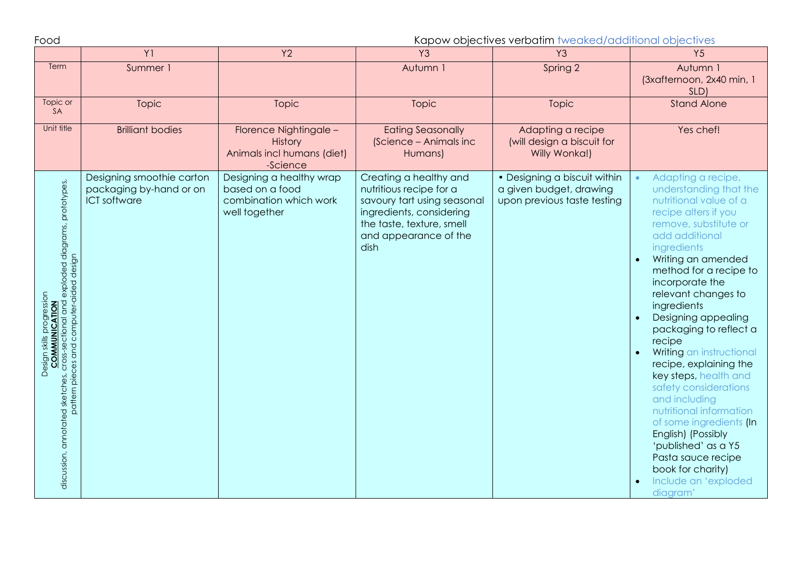Food Kapow objectives verbatim tweaked/additional objectives

|                                                                                                                                                                                        | Y1                                                                          | <b>Y2</b>                                                                              | Y <sub>3</sub>                                                                                                                                                             | Y <sub>3</sub>                                                                         | <b>Y5</b>                                                                                                                                                                                                                                                                                                                                                                                                                                                                                                                                                                                                                                           |
|----------------------------------------------------------------------------------------------------------------------------------------------------------------------------------------|-----------------------------------------------------------------------------|----------------------------------------------------------------------------------------|----------------------------------------------------------------------------------------------------------------------------------------------------------------------------|----------------------------------------------------------------------------------------|-----------------------------------------------------------------------------------------------------------------------------------------------------------------------------------------------------------------------------------------------------------------------------------------------------------------------------------------------------------------------------------------------------------------------------------------------------------------------------------------------------------------------------------------------------------------------------------------------------------------------------------------------------|
| Term                                                                                                                                                                                   | Summer 1                                                                    |                                                                                        | Autumn 1                                                                                                                                                                   | Spring 2                                                                               | Autumn 1<br>(3xafternoon, 2x40 min, 1<br>SLD)                                                                                                                                                                                                                                                                                                                                                                                                                                                                                                                                                                                                       |
| Topic or<br>SA                                                                                                                                                                         | Topic                                                                       | <b>Topic</b>                                                                           | Topic                                                                                                                                                                      | Topic                                                                                  | <b>Stand Alone</b>                                                                                                                                                                                                                                                                                                                                                                                                                                                                                                                                                                                                                                  |
| Unit title                                                                                                                                                                             | <b>Brilliant bodies</b>                                                     | Florence Nightingale -<br>History<br>Animals incl humans (diet)<br>-Science            | <b>Eating Seasonally</b><br>(Science - Animals inc<br>Humans)                                                                                                              | Adapting a recipe<br>(will design a biscuit for<br>Willy Wonka!)                       | Yes chef!                                                                                                                                                                                                                                                                                                                                                                                                                                                                                                                                                                                                                                           |
| discussion, annotated sketches, cross-sectional and exploded diagrams, prototypes,<br>pattern pieces and computer-aided design<br>progression<br><b>COMMUNICATION</b><br>Design skills | Designing smoothie carton<br>packaging by-hand or on<br><b>ICT</b> software | Designing a healthy wrap<br>based on a food<br>combination which work<br>well together | Creating a healthy and<br>nutritious recipe for a<br>savoury tart using seasonal<br>ingredients, considering<br>the taste, texture, smell<br>and appearance of the<br>dish | • Designing a biscuit within<br>a given budget, drawing<br>upon previous taste testing | Adapting a recipe,<br>understanding that the<br>nutritional value of a<br>recipe alters if you<br>remove, substitute or<br>add additional<br>ingredients<br>Writing an amended<br>method for a recipe to<br>incorporate the<br>relevant changes to<br>ingredients<br>Designing appealing<br>packaging to reflect a<br>recipe<br>Writing an instructional<br>recipe, explaining the<br>key steps, health and<br>safety considerations<br>and including<br>nutritional information<br>of some ingredients (In<br>English) (Possibly<br>'published' as a Y5<br>Pasta sauce recipe<br>book for charity)<br>Include an 'exploded<br>diagram <sup>®</sup> |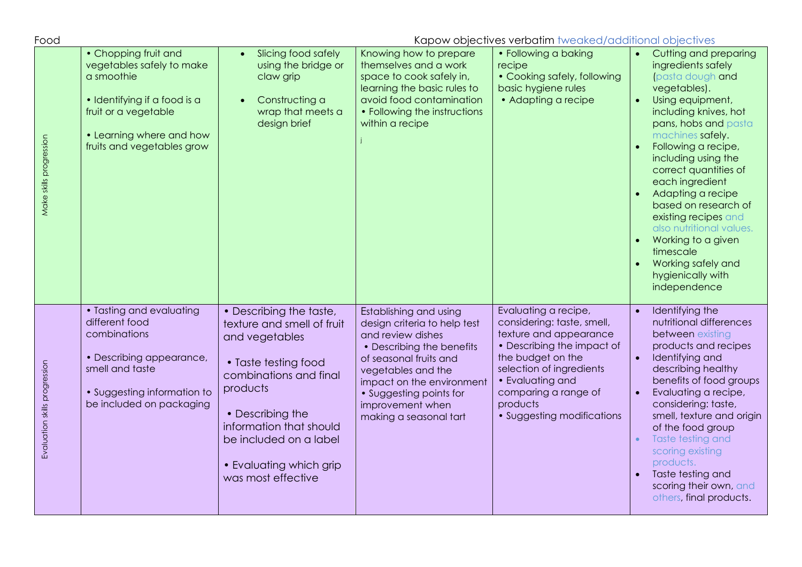| Food                          | Kapow objectives verbatim tweaked/additional objectives                                                                                                                           |                                                                                                                                                                                                                                                                 |                                                                                                                                                                                                                                                                |                                                                                                                                                                                                                                                   |                                                                                                                                                                                                                                                                                                                                                                                                                                                                  |
|-------------------------------|-----------------------------------------------------------------------------------------------------------------------------------------------------------------------------------|-----------------------------------------------------------------------------------------------------------------------------------------------------------------------------------------------------------------------------------------------------------------|----------------------------------------------------------------------------------------------------------------------------------------------------------------------------------------------------------------------------------------------------------------|---------------------------------------------------------------------------------------------------------------------------------------------------------------------------------------------------------------------------------------------------|------------------------------------------------------------------------------------------------------------------------------------------------------------------------------------------------------------------------------------------------------------------------------------------------------------------------------------------------------------------------------------------------------------------------------------------------------------------|
| Make skills progression       | • Chopping fruit and<br>vegetables safely to make<br>a smoothie<br>· Identifying if a food is a<br>fruit or a vegetable<br>• Learning where and how<br>fruits and vegetables grow | Slicing food safely<br>using the bridge or<br>claw grip<br>Constructing a<br>wrap that meets a<br>design brief                                                                                                                                                  | Knowing how to prepare<br>themselves and a work<br>space to cook safely in,<br>learning the basic rules to<br>avoid food contamination<br>• Following the instructions<br>within a recipe                                                                      | • Following a baking<br>recipe<br>• Cooking safely, following<br>basic hygiene rules<br>• Adapting a recipe                                                                                                                                       | Cutting and preparing<br>ingredients safely<br>pasta dough and<br>vegetables).<br>Using equipment,<br>including knives, hot<br>pans, hobs and pasta<br>machines safely.<br>Following a recipe,<br>including using the<br>correct quantities of<br>each ingredient<br>Adapting a recipe<br>based on research of<br>existing recipes and<br>also nutritional values.<br>Working to a given<br>timescale<br>Working safely and<br>hygienically with<br>independence |
| Evaluation skills progression | • Tasting and evaluating<br>different food<br>combinations<br>• Describing appearance,<br>smell and taste<br>• Suggesting information to<br>be included on packaging              | • Describing the taste,<br>texture and smell of fruit<br>and vegetables<br>• Taste testing food<br>combinations and final<br>products<br>• Describing the<br>information that should<br>be included on a label<br>• Evaluating which grip<br>was most effective | Establishing and using<br>design criteria to help test<br>and review dishes<br>• Describing the benefits<br>of seasonal fruits and<br>vegetables and the<br>impact on the environment<br>• Suggesting points for<br>improvement when<br>making a seasonal tart | Evaluating a recipe,<br>considering: taste, smell,<br>texture and appearance<br>• Describing the impact of<br>the budget on the<br>selection of ingredients<br>• Evaluating and<br>comparing a range of<br>products<br>• Suggesting modifications | Identifying the<br>nutritional differences<br>between existing<br>products and recipes<br>Identifying and<br>describing healthy<br>benefits of food groups<br>Evaluating a recipe,<br>considering: taste,<br>smell, texture and origin<br>of the food group<br>Taste testing and<br>scoring existing<br>products.<br>Taste testing and<br>scoring their own, and<br>others, final products.                                                                      |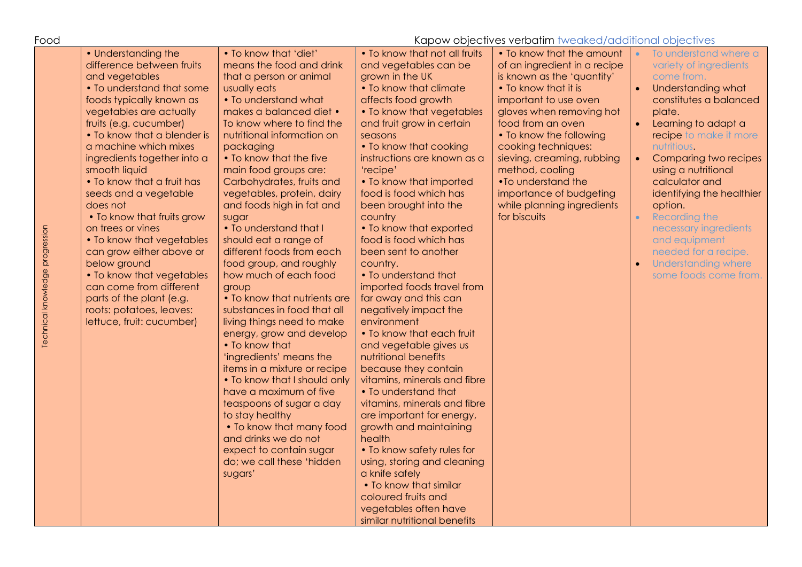| Food                            | Kapow objectives verbatim tweaked/additional objectives                                                                                                                                                                                                                                                                                                                                                                                                                                                                                                                                                                              |                                                                                                                                                                                                                                                                                                                                                                                                                                                                                                                                                                                                                                                                                                                                                                                                                                                                                                                                                                 |                                                                                                                                                                                                                                                                                                                                                                                                                                                                                                                                                                                                                                                                                                                                                                                                                                                                                                                                                                                                                                        |                                                                                                                                                                                                                                                                                                                                                                                             |                                                                                                                                                                                                                                                                                                                                                                                                                                                          |
|---------------------------------|--------------------------------------------------------------------------------------------------------------------------------------------------------------------------------------------------------------------------------------------------------------------------------------------------------------------------------------------------------------------------------------------------------------------------------------------------------------------------------------------------------------------------------------------------------------------------------------------------------------------------------------|-----------------------------------------------------------------------------------------------------------------------------------------------------------------------------------------------------------------------------------------------------------------------------------------------------------------------------------------------------------------------------------------------------------------------------------------------------------------------------------------------------------------------------------------------------------------------------------------------------------------------------------------------------------------------------------------------------------------------------------------------------------------------------------------------------------------------------------------------------------------------------------------------------------------------------------------------------------------|----------------------------------------------------------------------------------------------------------------------------------------------------------------------------------------------------------------------------------------------------------------------------------------------------------------------------------------------------------------------------------------------------------------------------------------------------------------------------------------------------------------------------------------------------------------------------------------------------------------------------------------------------------------------------------------------------------------------------------------------------------------------------------------------------------------------------------------------------------------------------------------------------------------------------------------------------------------------------------------------------------------------------------------|---------------------------------------------------------------------------------------------------------------------------------------------------------------------------------------------------------------------------------------------------------------------------------------------------------------------------------------------------------------------------------------------|----------------------------------------------------------------------------------------------------------------------------------------------------------------------------------------------------------------------------------------------------------------------------------------------------------------------------------------------------------------------------------------------------------------------------------------------------------|
| Technical knowledge progression | • Understanding the<br>difference between fruits<br>and vegetables<br>• To understand that some<br>foods typically known as<br>vegetables are actually<br>fruits (e.g. cucumber)<br>• To know that a blender is<br>a machine which mixes<br>ingredients together into a<br>smooth liquid<br>• To know that a fruit has<br>seeds and a vegetable<br>does not<br>. To know that fruits grow<br>on trees or vines<br>• To know that vegetables<br>can grow either above or<br>below ground<br>• To know that vegetables<br>can come from different<br>parts of the plant (e.g.<br>roots: potatoes, leaves:<br>lettuce, fruit: cucumber) | • To know that 'diet'<br>means the food and drink<br>that a person or animal<br>usually eats<br>• To understand what<br>makes a balanced diet •<br>To know where to find the<br>nutritional information on<br>packaging<br>• To know that the five<br>main food groups are:<br>Carbohydrates, fruits and<br>vegetables, protein, dairy<br>and foods high in fat and<br>sugar<br>. To understand that I<br>should eat a range of<br>different foods from each<br>food group, and roughly<br>how much of each food<br>group<br>• To know that nutrients are<br>substances in food that all<br>living things need to make<br>energy, grow and develop<br>• To know that<br>'ingredients' means the<br>items in a mixture or recipe<br>• To know that I should only<br>have a maximum of five<br>teaspoons of sugar a day<br>to stay healthy<br>. To know that many food<br>and drinks we do not<br>expect to contain sugar<br>do; we call these 'hidden<br>sugars' | . To know that not all fruits<br>and vegetables can be<br>grown in the UK<br>• To know that climate<br>affects food growth<br>• To know that vegetables<br>and fruit grow in certain<br>seasons<br>• To know that cooking<br>instructions are known as a<br>'recipe'<br>• To know that imported<br>food is food which has<br>been brought into the<br>country<br>• To know that exported<br>food is food which has<br>been sent to another<br>country.<br>• To understand that<br>imported foods travel from<br>far away and this can<br>negatively impact the<br>environment<br>• To know that each fruit<br>and vegetable gives us<br>nutritional benefits<br>because they contain<br>vitamins, minerals and fibre<br>• To understand that<br>vitamins, minerals and fibre<br>are important for energy,<br>growth and maintaining<br>health<br>• To know safety rules for<br>using, storing and cleaning<br>a knife safely<br>. To know that similar<br>coloured fruits and<br>vegetables often have<br>similar nutritional benefits | • To know that the amount<br>of an ingredient in a recipe<br>is known as the 'quantity'<br>• To know that it is<br>important to use oven<br>gloves when removing hot<br>food from an oven<br>• To know the following<br>cooking techniques:<br>sieving, creaming, rubbing<br>method, cooling<br>.To understand the<br>importance of budgeting<br>while planning ingredients<br>for biscuits | To understand where a<br>variety of ingredients<br>come from.<br>Understanding what<br>constitutes a balanced<br>plate.<br>Learning to adapt a<br>recipe to make it more<br>nutritious.<br>Comparing two recipes<br>$\bullet$<br>using a nutritional<br>calculator and<br>identifying the healthier<br>option.<br>Recording the<br>necessary ingredients<br>and equipment<br>needed for a recipe.<br><b>Understanding where</b><br>some foods come from. |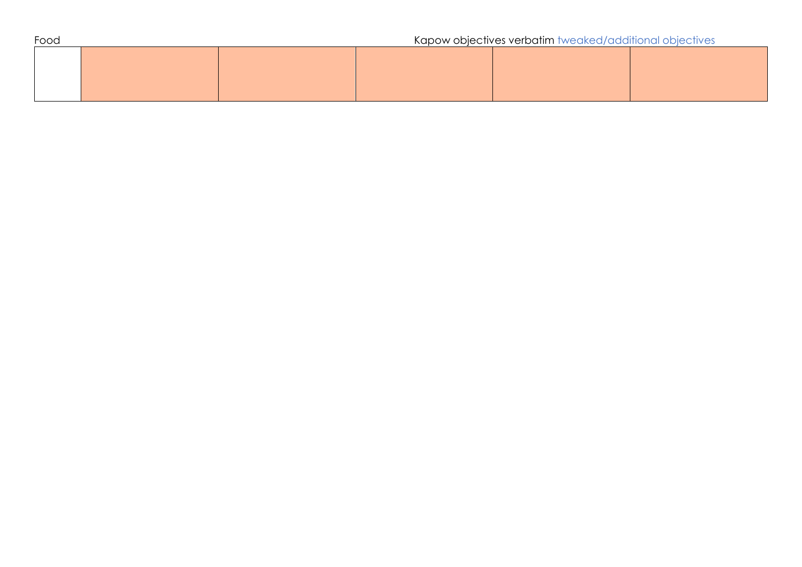| Food |  |  | Kapow objectives verbatim tweaked/additional objectives |  |  |
|------|--|--|---------------------------------------------------------|--|--|
|      |  |  |                                                         |  |  |
|      |  |  |                                                         |  |  |
|      |  |  |                                                         |  |  |
|      |  |  |                                                         |  |  |
|      |  |  |                                                         |  |  |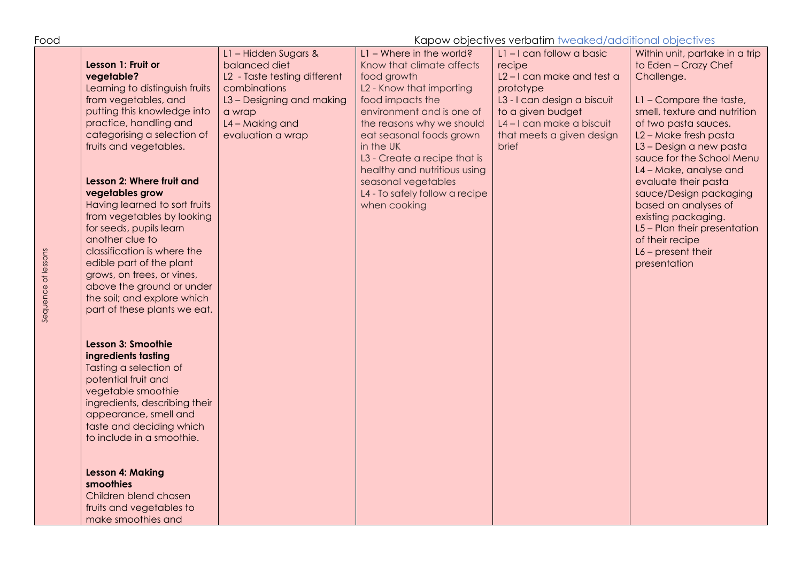| Food                                                                                                                                                                                                                                                                                                                                                                                                                                                                                                                                                                                                                                                                                                                                                                                                                                                                                                                                            | Kapow objectives verbatim tweaked/additional objectives                                                                                                              |                                                                                                                                                                                                                                                                                                                                                                                                    |                                                                                                                                                                 |                                                                                                                                                                                                                                                                                                                                                                                                                                                                |
|-------------------------------------------------------------------------------------------------------------------------------------------------------------------------------------------------------------------------------------------------------------------------------------------------------------------------------------------------------------------------------------------------------------------------------------------------------------------------------------------------------------------------------------------------------------------------------------------------------------------------------------------------------------------------------------------------------------------------------------------------------------------------------------------------------------------------------------------------------------------------------------------------------------------------------------------------|----------------------------------------------------------------------------------------------------------------------------------------------------------------------|----------------------------------------------------------------------------------------------------------------------------------------------------------------------------------------------------------------------------------------------------------------------------------------------------------------------------------------------------------------------------------------------------|-----------------------------------------------------------------------------------------------------------------------------------------------------------------|----------------------------------------------------------------------------------------------------------------------------------------------------------------------------------------------------------------------------------------------------------------------------------------------------------------------------------------------------------------------------------------------------------------------------------------------------------------|
| Lesson 1: Fruit or<br>vegetable?<br>Learning to distinguish fruits<br>from vegetables, and<br>putting this knowledge into<br>practice, handling and<br>categorising a selection of<br>fruits and vegetables.<br>Lesson 2: Where fruit and<br>vegetables grow<br>Having learned to sort fruits<br>from vegetables by looking<br>for seeds, pupils learn<br>another clue to<br>classification is where the<br>Sequence of lessons<br>edible part of the plant<br>grows, on trees, or vines,<br>above the ground or under<br>the soil; and explore which<br>part of these plants we eat.<br>Lesson 3: Smoothie<br>ingredients tasting<br>Tasting a selection of<br>potential fruit and<br>vegetable smoothie<br>ingredients, describing their<br>appearance, smell and<br>taste and deciding which<br>to include in a smoothie.<br><b>Lesson 4: Making</b><br>smoothies<br>Children blend chosen<br>fruits and vegetables to<br>make smoothies and | L1 - Hidden Sugars &<br>balanced diet<br>L2 - Taste testing different<br>combinations<br>L3 - Designing and making<br>a wrap<br>L4 - Making and<br>evaluation a wrap | $L1 -$ Where in the world?<br>Know that climate affects<br>recipe<br>food growth<br>L2 - Know that importing<br>prototype<br>food impacts the<br>environment and is one of<br>the reasons why we should<br>eat seasonal foods grown<br>in the UK<br>brief<br>L3 - Create a recipe that is<br>healthy and nutritious using<br>seasonal vegetables<br>L4 - To safely follow a recipe<br>when cooking | L1-I can follow a basic<br>L2-I can make and test a<br>L3 - I can design a biscuit<br>to a given budget<br>L4-I can make a biscuit<br>that meets a given design | Within unit, partake in a trip<br>to Eden - Crazy Chef<br>Challenge.<br>L1 - Compare the taste,<br>smell, texture and nutrition<br>of two pasta sauces.<br>L2 - Make fresh pasta<br>L3 - Design a new pasta<br>sauce for the School Menu<br>L4 - Make, analyse and<br>evaluate their pasta<br>sauce/Design packaging<br>based on analyses of<br>existing packaging.<br>L5 - Plan their presentation<br>of their recipe<br>$L6$ – present their<br>presentation |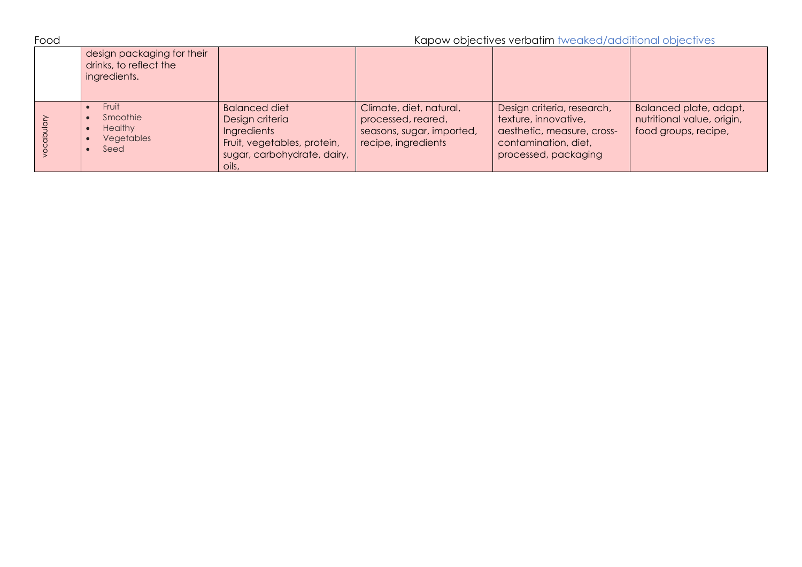| Food |                                                                      |                                                                                                                               | Kapow objectives verbatim tweaked/additional objectives                                           |                                                                                                                                  |                                                                              |
|------|----------------------------------------------------------------------|-------------------------------------------------------------------------------------------------------------------------------|---------------------------------------------------------------------------------------------------|----------------------------------------------------------------------------------------------------------------------------------|------------------------------------------------------------------------------|
|      | design packaging for their<br>drinks, to reflect the<br>ingredients. |                                                                                                                               |                                                                                                   |                                                                                                                                  |                                                                              |
|      | Fruit<br>Smoothie<br><b>Healthy</b><br>Vegetables<br>Seed            | <b>Balanced diet</b><br>Design criteria<br>Ingredients<br>Fruit, vegetables, protein,<br>sugar, carbohydrate, dairy,<br>oils, | Climate, diet, natural,<br>processed, reared,<br>seasons, sugar, imported,<br>recipe, ingredients | Design criteria, research,<br>texture, innovative,<br>aesthetic, measure, cross-<br>contamination, diet,<br>processed, packaging | Balanced plate, adapt,<br>nutritional value, origin,<br>food groups, recipe, |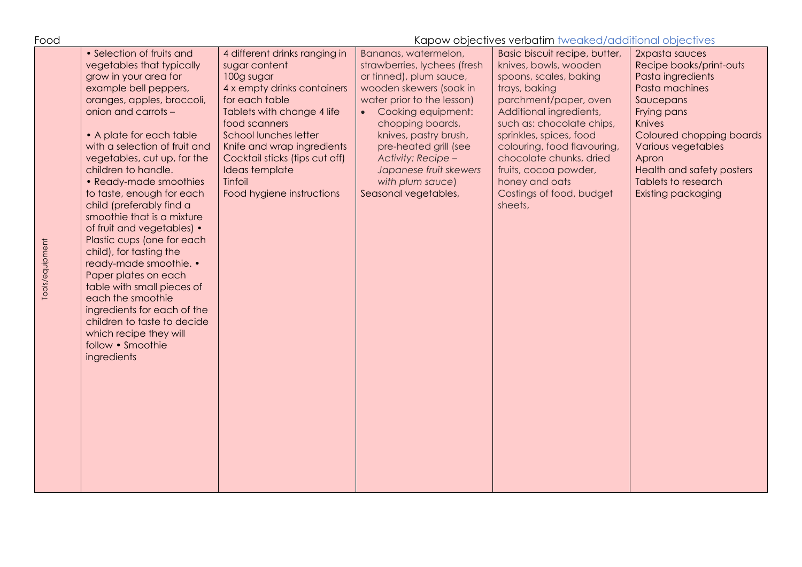| Food            |                                                                                                                                                                                                                                                                                                                                                                                                                                                                                                                                                                                                                                                                                                                           |                                                                                                                                                                                                                                                                                                                        |                                                                                                                                                                                                                                                                                                                                  | Kapow objectives verbatim tweaked/additional objectives                                                                                                                                                                                                                                                                                                   |                                                                                                                                                                                                                                                             |
|-----------------|---------------------------------------------------------------------------------------------------------------------------------------------------------------------------------------------------------------------------------------------------------------------------------------------------------------------------------------------------------------------------------------------------------------------------------------------------------------------------------------------------------------------------------------------------------------------------------------------------------------------------------------------------------------------------------------------------------------------------|------------------------------------------------------------------------------------------------------------------------------------------------------------------------------------------------------------------------------------------------------------------------------------------------------------------------|----------------------------------------------------------------------------------------------------------------------------------------------------------------------------------------------------------------------------------------------------------------------------------------------------------------------------------|-----------------------------------------------------------------------------------------------------------------------------------------------------------------------------------------------------------------------------------------------------------------------------------------------------------------------------------------------------------|-------------------------------------------------------------------------------------------------------------------------------------------------------------------------------------------------------------------------------------------------------------|
| Tools/equipment | • Selection of fruits and<br>vegetables that typically<br>grow in your area for<br>example bell peppers,<br>oranges, apples, broccoli,<br>onion and carrots -<br>• A plate for each table<br>with a selection of fruit and<br>vegetables, cut up, for the<br>children to handle.<br>• Ready-made smoothies<br>to taste, enough for each<br>child (preferably find a<br>smoothie that is a mixture<br>of fruit and vegetables) •<br>Plastic cups (one for each<br>child), for tasting the<br>ready-made smoothie. •<br>Paper plates on each<br>table with small pieces of<br>each the smoothie<br>ingredients for each of the<br>children to taste to decide<br>which recipe they will<br>follow • Smoothie<br>ingredients | 4 different drinks ranging in<br>sugar content<br>100g sugar<br>4 x empty drinks containers<br>for each table<br>Tablets with change 4 life<br>food scanners<br><b>School lunches letter</b><br>Knife and wrap ingredients<br>Cocktail sticks (tips cut off)<br>Ideas template<br>Tinfoil<br>Food hygiene instructions | Bananas, watermelon,<br>strawberries, lychees (fresh<br>or tinned), plum sauce,<br>wooden skewers (soak in<br>water prior to the lesson)<br>Cooking equipment:<br>chopping boards,<br>knives, pastry brush,<br>pre-heated grill (see<br>Activity: Recipe -<br>Japanese fruit skewers<br>with plum sauce)<br>Seasonal vegetables, | Basic biscuit recipe, butter,<br>knives, bowls, wooden<br>spoons, scales, baking<br>trays, baking<br>parchment/paper, oven<br>Additional ingredients,<br>such as: chocolate chips,<br>sprinkles, spices, food<br>colouring, food flavouring,<br>chocolate chunks, dried<br>fruits, cocoa powder,<br>honey and oats<br>Costings of food, budget<br>sheets, | 2xpasta sauces<br>Recipe books/print-outs<br>Pasta ingredients<br>Pasta machines<br>Saucepans<br>Frying pans<br>Knives<br>Coloured chopping boards<br>Various vegetables<br>Apron<br>Health and safety posters<br>Tablets to research<br>Existing packaging |